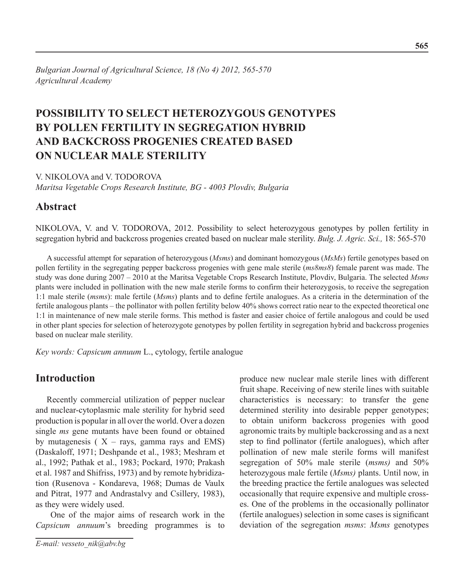*Bulgarian Journal of Agricultural Science, 18 (No 4) 2012, 565-570 Agricultural Academy*

# **POSSIBILITY TO SELECT HETEROZYGOUS GENOTYPES BY POLLEN FERTILITY IN SEGREGATION HYBRID AND BACKCROSS PROGENIES CREATED based on NUCLEAR MALE STERILITY**

V. NIKOLOVA and V. TODOROVA *Maritsa Vegetable Crops Research Institute, BG - 4003 Plovdiv, Bulgaria*

#### **Abstract**

NIKOLOVA, V. and V. TODOROVA, 2012. Possibility to select heterozygous genotypes by pollen fertility in segregation hybrid and backcross progenies created based on nuclear male sterility. *Bulg. J. Agric. Sci.,* 18: 565-570

A successful attempt for separation of heterozygous (*Msms*) and dominant homozygous (*MsMs*) fertile genotypes based on pollen fertility in the segregating pepper backcross progenies with gene male sterile (*ms8ms8*) female parent was made. The study was done during 2007 – 2010 at the Maritsa Vegetable Crops Research Institute, Plovdiv, Bulgaria. The selected *Msms* plants were included in pollination with the new male sterile forms to confirm their heterozygosis, to receive the segregation 1:1 male sterile (*msms*): male fertile (*Msms*) plants and to define fertile analogues. As a criteria in the determination of the fertile analogous plants – the pollinator with pollen fertility below 40% shows correct ratio near to the expected theoretical one 1:1 in maintenance of new male sterile forms. This method is faster and easier choice of fertile analogous and could be used in other plant species for selection of heterozygote genotypes by pollen fertility in segregation hybrid and backcross progenies based on nuclear male sterility.

*Key words: Capsicum annuum* L., cytology, fertile analogue

### **Introduction**

Recently commercial utilization of pepper nuclear and nuclear-cytoplasmic male sterility for hybrid seed production is popular in all over the world. Over a dozen single *ms* gene mutants have been found or obtained by mutagenesis ( $X - rays$ , gamma rays and EMS) (Daskaloff, 1971; Deshpande et al., 1983; Meshram et al., 1992; Pathak et al., 1983; Pockard, 1970; Prakash et al. 1987 and Shifriss, 1973) and by remote hybridization (Rusenova - Kondareva, 1968; Dumas de Vaulx and Pitrat, 1977 and Andrastalvy and Csillery, 1983), as they were widely used.

One of the major aims of research work in the *Capsicum annuum*'s breeding programmes is to

produce new nuclear male sterile lines with different fruit shape. Receiving of new sterile lines with suitable characteristics is necessary: to transfer the gene determined sterility into desirable pepper genotypes; to obtain uniform backcross progenies with good agronomic traits by multiple backcrossing and as a next step to find pollinator (fertile analogues), which after pollination of new male sterile forms will manifest segregation of 50% male sterile (*msms)* and 50% heterozygous male fertile (*Msms)* plants. Until now, in the breeding practice the fertile analogues was selected occasionally that require expensive and multiple crosses. One of the problems in the occasionally pollinator (fertile analogues) selection in some cases is significant deviation of the segregation *msms*: *Msms* genotypes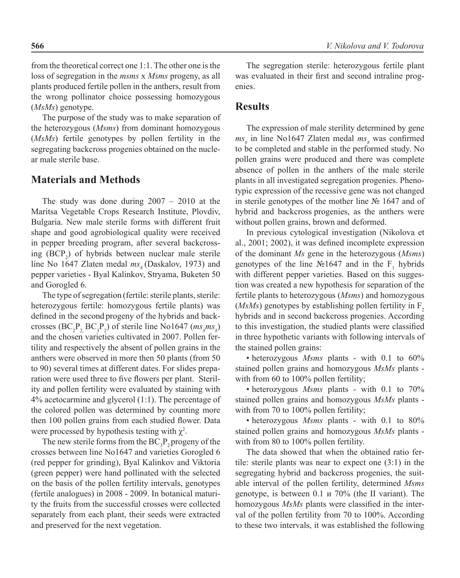from the theoretical correct one 1:1. The other one is the loss of segregation in the *msms* x *Msms* progeny, as all plants produced fertile pollen in the anthers, result from the wrong pollinator choice possessing homozygous (*MsMs*) genotype.

The purpose of the study was to make separation of the heterozygous (*Msms*) from dominant homozygous (*MsMs*) fertile genotypes by pollen fertility in the segregating backcross progenies obtained on the nuclear male sterile base.

#### **Materials and Methods**

The study was done during 2007 – 2010 at the Maritsa Vegetable Crops Research Institute, Plovdiv, Bulgaria. New male sterile forms with different fruit shape and good agrobiological quality were received in pepper breeding program, after several backcrossing  $(BCP_2)$  of hybrids between nuclear male sterile line No 1647 Zlaten medal  $ms_0$  (Daskalov, 1973) and pepper varieties - Byal Kalinkov, Stryama, Buketen 50 and Gorogled 6.

The type of segregation (fertile: sterile plants, sterile: heterozygous fertile: homozygous fertile plants) was defined in the second progeny of the hybrids and backcrosses ( $BC_2P_2$ ,  $BC_3P_2$ ) of sterile line No1647 ( $ms_{s}ms_{s}$ ) and the chosen varieties cultivated in 2007. Pollen fertility and respectively the absent of pollen grains in the anthers were observed in more then 50 plants (from 50 to 90) several times at different dates. For slides preparation were used three to five flowers per plant. Sterility and pollen fertility were evaluated by staining with 4% acetocarmine and glycerol (1:1). The percentage of the colored pollen was determined by counting more then 100 pollen grains from each studied flower. Data were processed by hypothesis testing with  $\chi^2$ .

The new sterile forms from the  $BC_3P_2$  progeny of the crosses between line No1647 and varieties Gorogled 6 (red pepper for grinding), Byal Kalinkov and Viktoria (green pepper) were hand pollinated with the selected on the basis of the pollen fertility intervals, genotypes (fertile analogues) in 2008 - 2009. In botanical maturity the fruits from the successful crosses were collected separately from each plant, their seeds were extracted and preserved for the next vegetation.

The segregation sterile: heterozygous fertile plant was evaluated in their first and second intraline progenies.

#### **Results**

The expression of male sterility determined by gene  $ms<sub>g</sub>$  in line No1647 Zlaten medal  $ms<sub>g</sub>$  was confirmed to be completed and stable in the performed study. No pollen grains were produced and there was complete absence of pollen in the anthers of the male sterile plants in all investigated segregation progenies. Phenotypic expression of the recessive gene was not changed in sterile genotypes of the mother line № 1647 and of hybrid and backcross progenies, as the anthers were without pollen grains, brown and deformed.

In previous cytological investigation (Nikolova et al., 2001; 2002), it was defined incomplete expression of the dominant *Ms* gene in the heterozygous (*Msms*) genotypes of the line  $N\ge 1647$  and in the  $F_1$  hybrids with different pepper varieties. Based on this suggestion was created a new hypothesis for separation of the fertile plants to heterozygous (*Msms*) and homozygous  $(MsMs)$  genotypes by establishing pollen fertility in F<sub>2</sub> hybrids and in second backcross progenies. According to this investigation, the studied plants were classified in three hypothetic variants with following intervals of the stained pollen grains:

• heterozygous *Msms* plants - with 0.1 to 60% stained pollen grains and homozygous *MsMs* plants with from 60 to 100% pollen fertility;

• heterozygous *Msms* plants - with 0.1 to 70% stained pollen grains and homozygous *MsMs* plants with from 70 to 100% pollen fertility;

• heterozygous *Msms* plants - with 0.1 to 80% stained pollen grains and homozygous *MsMs* plants with from 80 to 100% pollen fertility.

The data showed that when the obtained ratio fertile: sterile plants was near to expect one (3:1) in the segregating hybrid and backcross progenies, the suitable interval of the pollen fertility, determined *Msms* genotype, is between 0.1 и 70% (the II variant). The homozygous *MsMs* plants were classified in the interval of the pollen fertility from 70 to 100%. According to these two intervals, it was established the following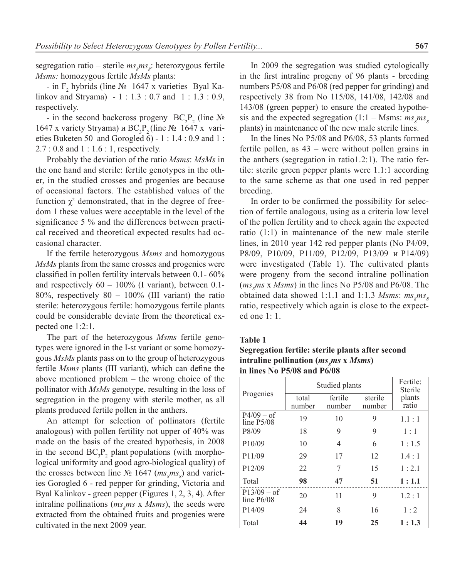segregation ratio – sterile  $ms_{\varsigma}ms_{\varsigma}$ : heterozygous fertile *Msms:* homozygous fertile *MsMs* plants:

- in  $F_2$  hybrids (line  $\mathcal{N}$ <sup>o</sup> 1647 x varieties Byal Kalinkov and Stryama) - 1 : 1.3 : 0.7 and 1 : 1.3 : 0.9, respectively.

- in the second backcross progeny  $BC_2P_2$  (line  $N_2$ ) 1647 x variety Stryama) и BC<sub>3</sub>P<sub>2</sub> (line № 1647 x varieties Buketen 50and Gorogled 6) - 1 : 1.4 : 0.9 and 1 : 2.7 : 0.8 and 1 : 1.6 : 1, respectively.

Probably the deviation of the ratio *Msms*: *MsMs* in the one hand and sterile: fertile genotypes in the other, in the studied crosses and progenies are because of occasional factors. The established values of the function  $\chi^2$  demonstrated, that in the degree of freedom 1 these values were acceptable in the level of the significance 5 % and the differences between practical received and theoretical expected results had occasional character.

If the fertile heterozygous *Msms* and homozygous *MsMs* plants from the same crosses and progenies were classified in pollen fertility intervals between 0.1- 60% and respectively  $60 - 100\%$  (I variant), between 0.1-80%, respectively 80 – 100% (III variant) the ratio sterile: heterozygous fertile: homozygous fertile plants could be considerable deviate from the theoretical expected one 1:2:1.

The part of the heterozygous *Msms* fertile genotypes were ignored in the I-st variant or some homozygous *MsMs* plants pass on to the group of heterozygous fertile *Msms* plants (III variant), which can define the above mentioned problem – the wrong choice of the pollinator with *MsMs* genotype, resulting in the loss of segregation in the progeny with sterile mother, as all plants produced fertile pollen in the anthers.

An attempt for selection of pollinators (fertile analogous) with pollen fertility not upper of 40% was made on the basis of the created hypothesis, in 2008 in the second  $BC_3P_2$  plant populations (with morphological uniformity and good agro-biological quality) of the crosses between line  $\mathcal{N}_2$  1647 ( $ms_{s}ms_{s}$ ) and varieties Gorogled 6 - red pepper for grinding, Victoria and Byal Kalinkov - green pepper (Figures 1, 2, 3, 4). After intraline pollinations ( $ms_{\rm s}ms \times Msms$ ), the seeds were extracted from the obtained fruits and progenies were cultivated in the next 2009 year.

In 2009 the segregation was studied cytologically in the first intraline progeny of 96 plants - breeding numbers Р5/08 and Р6/08 (red pepper for grinding) and respectively 38 from No 115/08, 141/08, 142/08 and 143/08 (green pepper) to ensure the created hypothesis and the expected segregation  $(1:1 - \text{Msms: } ms_s ms_s)$ plants) in maintenance of the new male sterile lines.

In the lines No Р5/08 and Р6/08, 53 plants formed fertile pollen, as 43 – were without pollen grains in the anthers (segregation in ratio1.2:1). The ratio fertile: sterile green pepper plants were 1.1:1 according to the same scheme as that one used in red pepper breeding.

In order to be confirmed the possibility for selection of fertile analogous, using as a criteria low level of the pollen fertility and to check again the expected ratio (1:1) in maintenance of the new male sterile lines, in 2010 year 142 red pepper plants (No Р4/09, Р8/09, Р10/09, Р11/09, Р12/09, Р13/09 и Р14/09) were investigated (Table 1). The cultivated plants were progeny from the second intraline pollination ( $ms<sub>g</sub>ms x Msms$ ) in the lines No P5/08 and P6/08. The obtained data showed 1:1.1 and 1:1.3  $Msms: ms_{g}ms_{g}$ ratio, respectively which again is close to the expected one 1: 1.

#### **Table 1**

**Segregation fertile: sterile plants after second**   $\frac{1}{2}$  intraline pollination ( $\frac{m}{s}$   $\frac{m}{s}$  x  $\frac{Msms}{s}$ **in lines No Р5/08 and Р6/08**

| Progenies                     | Studied plants  |                   |                   | Fertile:<br><b>Sterile</b> |
|-------------------------------|-----------------|-------------------|-------------------|----------------------------|
|                               | total<br>number | fertile<br>number | sterile<br>number | plants<br>ratio            |
| $P4/09 - of$<br>line $P5/08$  | 19              | 10                | 9                 | 1.1:1                      |
| P8/09                         | 18              | 9                 | 9                 | 1:1                        |
| P10/09                        | 10              | 4                 | 6                 | 1:1.5                      |
| P11/09                        | 29              | 17                | 12                | 1.4:1                      |
| P <sub>12</sub> /09           | 22              | 7                 | 15                | 1:2.1                      |
| Total                         | 98              | 47                | 51                | 1:1.1                      |
| $P13/09 - of$<br>line $P6/08$ | 20              | 11                | 9                 | 1.2:1                      |
| P14/09                        | 24              | 8                 | 16                | 1:2                        |
| Total                         | 44              | 19                | 25                | 1:1.3                      |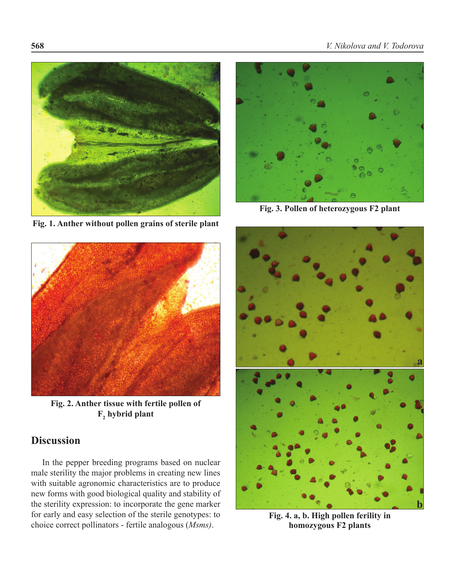

**Fig. 1. Anther without pollen grains of sterile plant**



**Fig. 2. Anther tissue with fertile pollen of F2 hybrid plant**

## **Discussion**

In the pepper breeding programs based on nuclear male sterility the major problems in creating new lines with suitable agronomic characteristics are to produce new forms with good biological quality and stability of the sterility expression: to incorporate the gene marker for early and easy selection of the sterile genotypes: to choice correct pollinators - fertile analogous (*Msms)*.



**Fig. 3. Pollen of heterozygous F2 plant**



**Fig. 4. a, b. High pollen ferility in homozygous F2 plants**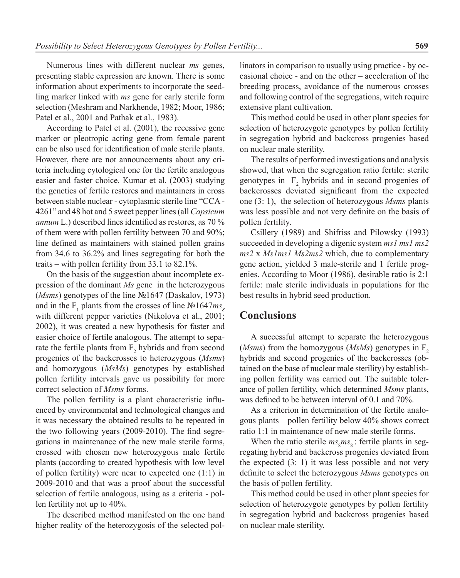Numerous lines with different nuclear *ms* genes, presenting stable expression are known. There is some information about experiments to incorporate the seedling marker linked with *ms* gene for early sterile form selection (Meshram and Narkhende, 1982; Moor, 1986; Patel et al., 2001 and Pathak et al., 1983).

According to Patel et al. (2001), the recessive gene marker or pleotropic acting gene from female parent can be also used for identification of male sterile plants. However, there are not announcements about any criteria including cytological one for the fertile analogous easier and faster choice. Kumar et al. (2003) studying the genetics of fertile restores and maintainers in cross between stable nuclear - cytoplasmic sterile line "CCA - 4261" and 48 hot and 5 sweet pepper lines (all *Capsicum annum* L.) described lines identified as restores, as 70 % of them were with pollen fertility between 70 and 90%; line defined as maintainers with stained pollen grains from 34.6 to 36.2% and lines segregating for both the traits – with pollen fertility from 33.1 to 82.1%.

On the basis of the suggestion about incomplete expression of the dominant *Ms* gene in the heterozygous (*Msms*) genotypes of the line №1647 (Daskalov, 1973) and in the  $F_1$  plants from the crosses of line  $\text{N}$ <sup>0</sup>1647*ms*<sub>8</sub> with different pepper varieties (Nikolova et al., 2001; 2002), it was created a new hypothesis for faster and easier choice of fertile analogous. The attempt to separate the fertile plants from  $F_2$  hybrids and from second progenies of the backcrosses to heterozygous (*Msms*) and homozygous (*MsMs*) genotypes by established pollen fertility intervals gave us possibility for more correct selection of *Msms* forms.

The pollen fertility is a plant characteristic influenced by environmental and technological changes and it was necessary the obtained results to be repeated in the two following years (2009-2010). The find segregations in maintenance of the new male sterile forms, crossed with chosen new heterozygous male fertile plants (according to created hypothesis with low level of pollen fertility) were near to expected one (1:1) in 2009-2010 and that was a proof about the successful selection of fertile analogous, using as a criteria - pollen fertility not up to 40%.

The described method manifested on the one hand higher reality of the heterozygosis of the selected pol-

linators in comparison to usually using practice - by occasional choice - and on the other – acceleration of the breeding process, avoidance of the numerous crosses and following control of the segregations, witch require extensive plant cultivation.

This method could be used in other plant species for selection of heterozygote genotypes by pollen fertility in segregation hybrid and backcross progenies based on nuclear male sterility.

The results of performed investigations and analysis showed, that when the segregation ratio fertile: sterile genotypes in  $F_2$  hybrids and in second progenies of backcrosses deviated significant from the expected one (3: 1), the selection of heterozygous *Msms* plants was less possible and not very definite on the basis of pollen fertility.

Csillery (1989) and Shifriss and Pilowsky (1993) succeeded in developing a digenic system *ms1 ms1 ms2 ms2* x *Ms1ms1 Ms2ms2* which, due to complementary gene action, yielded 3 male-sterile and 1 fertile progenies. According to Moor (1986), desirable ratio is 2:1 fertile: male sterile individuals in populations for the best results in hybrid seed production.

### **Conclusions**

A successful attempt to separate the heterozygous (*Msms*) from the homozygous (*MsMs*) genotypes in  $F<sub>2</sub>$ hybrids and second progenies of the backcrosses (obtained on the base of nuclear male sterility) by establishing pollen fertility was carried out. The suitable tolerance of pollen fertility, which determined *Msms* plants, was defined to be between interval of 0.1 and 70%.

As a criterion in determination of the fertile analogous plants – pollen fertility below 40% shows correct ratio 1:1 in maintenance of new male sterile forms.

When the ratio sterile  $ms_{8}ms_{8}$ : fertile plants in segregating hybrid and backcross progenies deviated from the expected (3: 1) it was less possible and not very definite to select the heterozygous *Msms* genotypes on the basis of pollen fertility.

This method could be used in other plant species for selection of heterozygote genotypes by pollen fertility in segregation hybrid and backcross progenies based on nuclear male sterility.